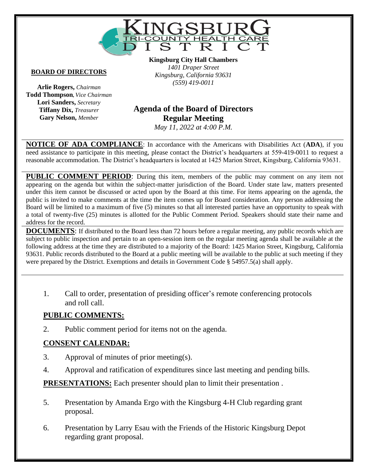

#### **BOARD OF DIRECTORS**

**Arlie Rogers,** *Chairman* **Todd Thompson,** *Vice Chairman* **Lori Sanders,** *Secretary* **Tiffany Dix,** *Treasurer* **Gary Nelson,** *Member*

**Kingsburg City Hall Chambers** *1401 Draper Street Kingsburg, California 93631 (559) 419-0011*

# **Vacant Agenda of the Board of Directors Regular Meeting**

*May 11, 2022 at 4:00 P.M.*

**NOTICE OF ADA COMPLIANCE**: In accordance with the Americans with Disabilities Act (**ADA**), if you need assistance to participate in this meeting, please contact the District's headquarters at 559-419-0011 to request a reasonable accommodation. The District's headquarters is located at 1425 Marion Street, Kingsburg, California 93631.

**PUBLIC COMMENT PERIOD:** During this item, members of the public may comment on any item not appearing on the agenda but within the subject-matter jurisdiction of the Board. Under state law, matters presented under this item cannot be discussed or acted upon by the Board at this time. For items appearing on the agenda, the public is invited to make comments at the time the item comes up for Board consideration. Any person addressing the Board will be limited to a maximum of five (5) minutes so that all interested parties have an opportunity to speak with a total of twenty-five (25) minutes is allotted for the Public Comment Period. Speakers should state their name and address for the record.

**DOCUMENTS**: If distributed to the Board less than 72 hours before a regular meeting, any public records which are subject to public inspection and pertain to an open-session item on the regular meeting agenda shall be available at the following address at the time they are distributed to a majority of the Board: 1425 Marion Street, Kingsburg, California 93631. Public records distributed to the Board at a public meeting will be available to the public at such meeting if they were prepared by the District. Exemptions and details in Government Code § 54957.5(a) shall apply.

1. Call to order, presentation of presiding officer's remote conferencing protocols and roll call.

#### **PUBLIC COMMENTS:**

2. Public comment period for items not on the agenda.

#### **CONSENT CALENDAR:**

- 3. Approval of minutes of prior meeting(s).
- 4. Approval and ratification of expenditures since last meeting and pending bills.

**PRESENTATIONS:** Each presenter should plan to limit their presentation.

- 5. Presentation by Amanda Ergo with the Kingsburg 4-H Club regarding grant proposal.
- 6. Presentation by Larry Esau with the Friends of the Historic Kingsburg Depot regarding grant proposal.